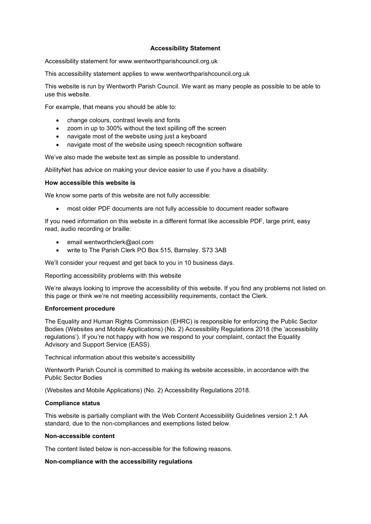### Accessibility Statement

Accessibility statement for www.wentworthparishcouncil.org.uk

This accessibility statement applies to www.wentworthparishcouncil.org.uk

This website is run by Wentworth Parish Council. We want as many people as possible to be able to use this website.

For example, that means you should be able to:

- change colours, contrast levels and fonts
- zoom in up to 300% without the text spilling off the screen
- navigate most of the website using just a keyboard
- navigate most of the website using speech recognition software

We've also made the website text as simple as possible to understand.

AbilityNet has advice on making your device easier to use if you have a disability.

# How accessible this website is

We know some parts of this website are not fully accessible:

most older PDF documents are not fully accessible to document reader software

If you need information on this website in a different format like accessible PDF, large print, easy read, audio recording or braille:

- email wentworthclerk@aol.com
- write to The Parish Clerk PO Box 515, Barnsley. S73 3AB

We'll consider your request and get back to you in 10 business days.

Reporting accessibility problems with this website

We're always looking to improve the accessibility of this website. If you find any problems not listed on this page or think we're not meeting accessibility requirements, contact the Clerk.

### Enforcement procedure

The Equality and Human Rights Commission (EHRC) is responsible for enforcing the Public Sector Bodies (Websites and Mobile Applications) (No. 2) Accessibility Regulations 2018 (the 'accessibility regulations'). If you're not happy with how we respond to your complaint, contact the Equality Advisory and Support Service (EASS).

Technical information about this website's accessibility

Wentworth Parish Council is committed to making its website accessible, in accordance with the Public Sector Bodies

(Websites and Mobile Applications) (No. 2) Accessibility Regulations 2018.

### Compliance status

This website is partially compliant with the Web Content Accessibility Guidelines version 2.1 AA standard, due to the non-compliances and exemptions listed below.

### Non-accessible content

The content listed below is non-accessible for the following reasons.

# Non-compliance with the accessibility regulations